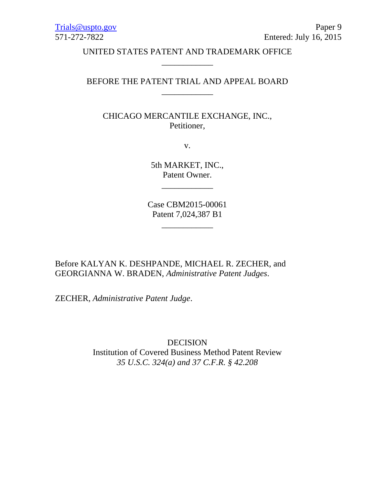UNITED STATES PATENT AND TRADEMARK OFFICE \_\_\_\_\_\_\_\_\_\_\_\_

## BEFORE THE PATENT TRIAL AND APPEAL BOARD \_\_\_\_\_\_\_\_\_\_\_\_

CHICAGO MERCANTILE EXCHANGE, INC., Petitioner,

v.

5th MARKET, INC., Patent Owner.

\_\_\_\_\_\_\_\_\_\_\_\_

Case CBM2015-00061 Patent 7,024,387 B1

\_\_\_\_\_\_\_\_\_\_\_\_

Before KALYAN K. DESHPANDE, MICHAEL R. ZECHER, and GEORGIANNA W. BRADEN, *Administrative Patent Judges*.

ZECHER, *Administrative Patent Judge*.

DECISION Institution of Covered Business Method Patent Review *35 U.S.C. 324(a) and 37 C.F.R. § 42.208*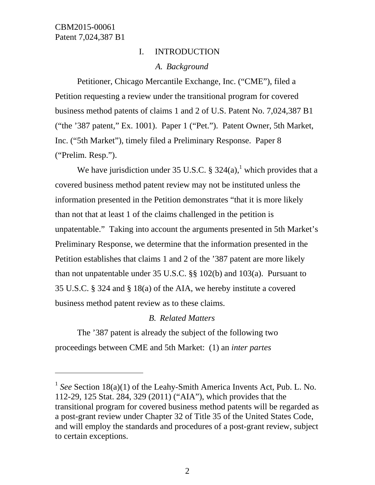$\overline{a}$ 

# I. INTRODUCTION *A. Background*

Petitioner, Chicago Mercantile Exchange, Inc. ("CME"), filed a Petition requesting a review under the transitional program for covered business method patents of claims 1 and 2 of U.S. Patent No. 7,024,387 B1 ("the '387 patent," Ex. 1001). Paper 1 ("Pet."). Patent Owner, 5th Market, Inc. ("5th Market"), timely filed a Preliminary Response. Paper 8 ("Prelim. Resp.").

We have jurisdiction under 35 U.S.C.  $\S$  324(a),<sup>1</sup> which provides that a covered business method patent review may not be instituted unless the information presented in the Petition demonstrates "that it is more likely than not that at least 1 of the claims challenged in the petition is unpatentable." Taking into account the arguments presented in 5th Market's Preliminary Response, we determine that the information presented in the Petition establishes that claims 1 and 2 of the '387 patent are more likely than not unpatentable under 35 U.S.C. §§ 102(b) and 103(a). Pursuant to 35 U.S.C. § 324 and § 18(a) of the AIA, we hereby institute a covered business method patent review as to these claims.

### *B. Related Matters*

 The '387 patent is already the subject of the following two proceedings between CME and 5th Market: (1) an *inter partes*

<sup>&</sup>lt;sup>1</sup> *See* Section 18(a)(1) of the Leahy-Smith America Invents Act, Pub. L. No. 112-29, 125 Stat. 284, 329 (2011) ("AIA"), which provides that the transitional program for covered business method patents will be regarded as a post-grant review under Chapter 32 of Title 35 of the United States Code, and will employ the standards and procedures of a post-grant review, subject to certain exceptions.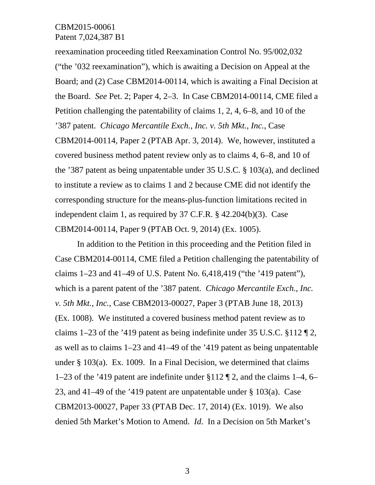reexamination proceeding titled Reexamination Control No. 95/002,032 ("the '032 reexamination"), which is awaiting a Decision on Appeal at the Board; and (2) Case CBM2014-00114, which is awaiting a Final Decision at the Board. *See* Pet. 2; Paper 4, 2–3. In Case CBM2014-00114, CME filed a Petition challenging the patentability of claims 1, 2, 4, 6–8, and 10 of the '387 patent. *Chicago Mercantile Exch., Inc. v. 5th Mkt., Inc.*, Case CBM2014-00114, Paper 2 (PTAB Apr. 3, 2014). We, however, instituted a covered business method patent review only as to claims 4, 6–8, and 10 of the '387 patent as being unpatentable under 35 U.S.C. § 103(a), and declined to institute a review as to claims 1 and 2 because CME did not identify the corresponding structure for the means-plus-function limitations recited in independent claim 1, as required by 37 C.F.R. § 42.204(b)(3). Case CBM2014-00114, Paper 9 (PTAB Oct. 9, 2014) (Ex. 1005).

 In addition to the Petition in this proceeding and the Petition filed in Case CBM2014-00114, CME filed a Petition challenging the patentability of claims 1–23 and 41–49 of U.S. Patent No. 6,418,419 ("the '419 patent"), which is a parent patent of the '387 patent. *Chicago Mercantile Exch., Inc. v. 5th Mkt., Inc.*, Case CBM2013-00027, Paper 3 (PTAB June 18, 2013) (Ex. 1008). We instituted a covered business method patent review as to claims 1–23 of the '419 patent as being indefinite under 35 U.S.C.  $\S 112 \P 2$ , as well as to claims 1–23 and 41–49 of the '419 patent as being unpatentable under § 103(a). Ex. 1009. In a Final Decision, we determined that claims 1–23 of the '419 patent are indefinite under §112 ¶ 2, and the claims 1–4, 6– 23, and 41–49 of the '419 patent are unpatentable under  $\S 103(a)$ . Case CBM2013-00027, Paper 33 (PTAB Dec. 17, 2014) (Ex. 1019). We also denied 5th Market's Motion to Amend. *Id*. In a Decision on 5th Market's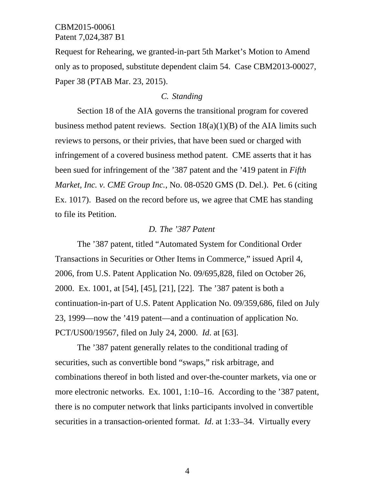Request for Rehearing, we granted-in-part 5th Market's Motion to Amend only as to proposed, substitute dependent claim 54. Case CBM2013-00027, Paper 38 (PTAB Mar. 23, 2015).

## *C. Standing*

 Section 18 of the AIA governs the transitional program for covered business method patent reviews. Section  $18(a)(1)(B)$  of the AIA limits such reviews to persons, or their privies, that have been sued or charged with infringement of a covered business method patent. CME asserts that it has been sued for infringement of the '387 patent and the '419 patent in *Fifth Market, Inc. v. CME Group Inc.*, No. 08-0520 GMS (D. Del.). Pet. 6 (citing Ex. 1017). Based on the record before us, we agree that CME has standing to file its Petition.

### *D. The '387 Patent*

The '387 patent, titled "Automated System for Conditional Order Transactions in Securities or Other Items in Commerce," issued April 4, 2006, from U.S. Patent Application No. 09/695,828, filed on October 26, 2000. Ex. 1001, at [54], [45], [21], [22]. The '387 patent is both a continuation-in-part of U.S. Patent Application No. 09/359,686, filed on July 23, 1999—now the '419 patent—and a continuation of application No. PCT/US00/19567, filed on July 24, 2000. *Id*. at [63].

The '387 patent generally relates to the conditional trading of securities, such as convertible bond "swaps," risk arbitrage, and combinations thereof in both listed and over-the-counter markets, via one or more electronic networks. Ex. 1001, 1:10–16. According to the '387 patent, there is no computer network that links participants involved in convertible securities in a transaction-oriented format. *Id*. at 1:33–34. Virtually every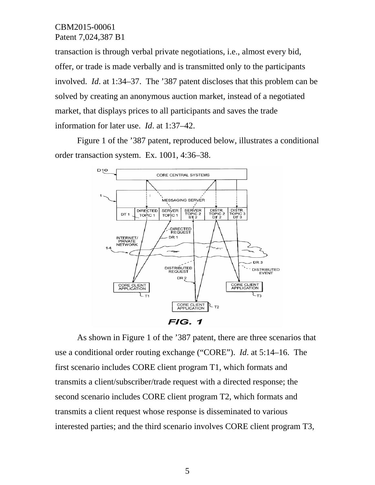transaction is through verbal private negotiations, i.e., almost every bid, offer, or trade is made verbally and is transmitted only to the participants involved. *Id*. at 1:34–37. The '387 patent discloses that this problem can be solved by creating an anonymous auction market, instead of a negotiated market, that displays prices to all participants and saves the trade information for later use. *Id*. at 1:37–42.

Figure 1 of the '387 patent, reproduced below, illustrates a conditional order transaction system. Ex. 1001, 4:36–38.



 As shown in Figure 1 of the '387 patent, there are three scenarios that use a conditional order routing exchange ("CORE"). *Id*. at 5:14–16. The first scenario includes CORE client program T1, which formats and transmits a client/subscriber/trade request with a directed response; the second scenario includes CORE client program T2, which formats and transmits a client request whose response is disseminated to various interested parties; and the third scenario involves CORE client program T3,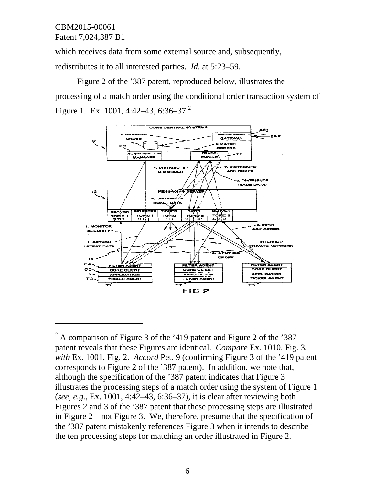$\overline{a}$ 

which receives data from some external source and, subsequently, redistributes it to all interested parties. *Id*. at 5:23–59.

 Figure 2 of the '387 patent, reproduced below, illustrates the processing of a match order using the conditional order transaction system of Figure 1. Ex. 1001, 4:42–43, 6:36–37.<sup>2</sup>



 $2^2$  A comparison of Figure 3 of the '419 patent and Figure 2 of the '387 patent reveals that these Figures are identical. *Compare* Ex. 1010, Fig. 3, *with* Ex. 1001, Fig. 2. *Accord* Pet. 9 (confirming Figure 3 of the '419 patent corresponds to Figure 2 of the '387 patent). In addition, we note that, although the specification of the '387 patent indicates that Figure 3 illustrates the processing steps of a match order using the system of Figure 1 (*see, e.g.*, Ex. 1001, 4:42–43, 6:36–37), it is clear after reviewing both Figures 2 and 3 of the '387 patent that these processing steps are illustrated in Figure 2—not Figure 3. We, therefore, presume that the specification of the '387 patent mistakenly references Figure 3 when it intends to describe the ten processing steps for matching an order illustrated in Figure 2.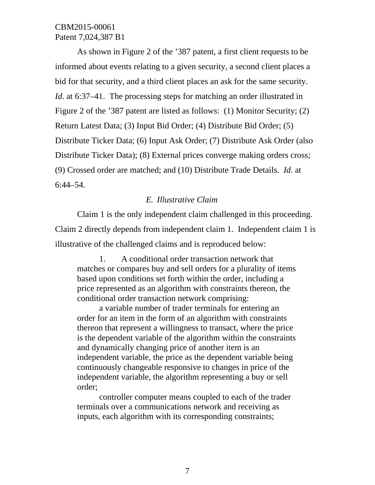As shown in Figure 2 of the '387 patent, a first client requests to be informed about events relating to a given security, a second client places a bid for that security, and a third client places an ask for the same security. *Id.* at 6:37–41. The processing steps for matching an order illustrated in Figure 2 of the '387 patent are listed as follows: (1) Monitor Security; (2) Return Latest Data; (3) Input Bid Order; (4) Distribute Bid Order; (5) Distribute Ticker Data; (6) Input Ask Order; (7) Distribute Ask Order (also Distribute Ticker Data); (8) External prices converge making orders cross; (9) Crossed order are matched; and (10) Distribute Trade Details. *Id*. at 6:44–54.

### *E. Illustrative Claim*

Claim 1 is the only independent claim challenged in this proceeding. Claim 2 directly depends from independent claim 1. Independent claim 1 is illustrative of the challenged claims and is reproduced below:

1. A conditional order transaction network that matches or compares buy and sell orders for a plurality of items based upon conditions set forth within the order, including a price represented as an algorithm with constraints thereon, the conditional order transaction network comprising:

a variable number of trader terminals for entering an order for an item in the form of an algorithm with constraints thereon that represent a willingness to transact, where the price is the dependent variable of the algorithm within the constraints and dynamically changing price of another item is an independent variable, the price as the dependent variable being continuously changeable responsive to changes in price of the independent variable, the algorithm representing a buy or sell order;

controller computer means coupled to each of the trader terminals over a communications network and receiving as inputs, each algorithm with its corresponding constraints;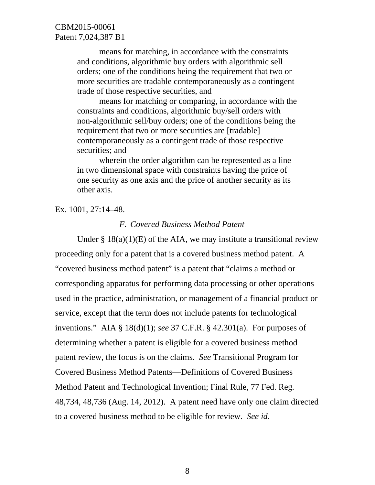means for matching, in accordance with the constraints and conditions, algorithmic buy orders with algorithmic sell orders; one of the conditions being the requirement that two or more securities are tradable contemporaneously as a contingent trade of those respective securities, and

 means for matching or comparing, in accordance with the constraints and conditions, algorithmic buy/sell orders with non-algorithmic sell/buy orders; one of the conditions being the requirement that two or more securities are [tradable] contemporaneously as a contingent trade of those respective securities; and

 wherein the order algorithm can be represented as a line in two dimensional space with constraints having the price of one security as one axis and the price of another security as its other axis.

#### Ex. 1001, 27:14–48.

#### *F. Covered Business Method Patent*

Under  $\S$  18(a)(1)(E) of the AIA, we may institute a transitional review proceeding only for a patent that is a covered business method patent. A "covered business method patent" is a patent that "claims a method or corresponding apparatus for performing data processing or other operations used in the practice, administration, or management of a financial product or service, except that the term does not include patents for technological inventions." AIA § 18(d)(1); *see* 37 C.F.R. § 42.301(a). For purposes of determining whether a patent is eligible for a covered business method patent review, the focus is on the claims. *See* Transitional Program for Covered Business Method Patents—Definitions of Covered Business Method Patent and Technological Invention; Final Rule, 77 Fed. Reg*.* 48,734, 48,736 (Aug. 14, 2012). A patent need have only one claim directed to a covered business method to be eligible for review. *See id*.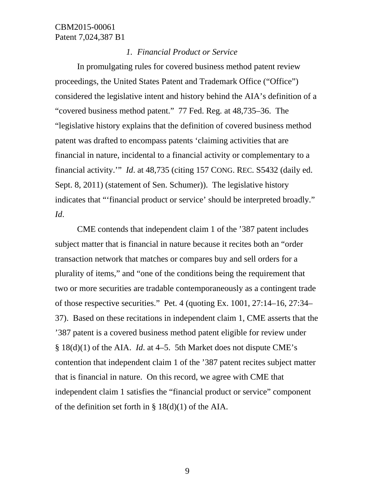### *1. Financial Product or Service*

In promulgating rules for covered business method patent review proceedings, the United States Patent and Trademark Office ("Office") considered the legislative intent and history behind the AIA's definition of a "covered business method patent." 77 Fed. Reg*.* at 48,735–36. The "legislative history explains that the definition of covered business method patent was drafted to encompass patents 'claiming activities that are financial in nature, incidental to a financial activity or complementary to a financial activity.'" *Id*. at 48,735 (citing 157 CONG. REC. S5432 (daily ed. Sept. 8, 2011) (statement of Sen. Schumer)). The legislative history indicates that "'financial product or service' should be interpreted broadly." *Id*.

CME contends that independent claim 1 of the '387 patent includes subject matter that is financial in nature because it recites both an "order transaction network that matches or compares buy and sell orders for a plurality of items," and "one of the conditions being the requirement that two or more securities are tradable contemporaneously as a contingent trade of those respective securities." Pet. 4 (quoting Ex. 1001, 27:14–16, 27:34– 37). Based on these recitations in independent claim 1, CME asserts that the '387 patent is a covered business method patent eligible for review under § 18(d)(1) of the AIA. *Id*. at 4–5. 5th Market does not dispute CME's contention that independent claim 1 of the '387 patent recites subject matter that is financial in nature. On this record, we agree with CME that independent claim 1 satisfies the "financial product or service" component of the definition set forth in  $\S 18(d)(1)$  of the AIA.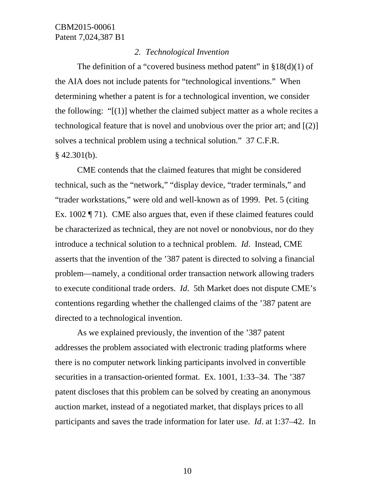### *2. Technological Invention*

The definition of a "covered business method patent" in  $\S18(d)(1)$  of the AIA does not include patents for "technological inventions." When determining whether a patent is for a technological invention, we consider the following: "[(1)] whether the claimed subject matter as a whole recites a technological feature that is novel and unobvious over the prior art; and [(2)] solves a technical problem using a technical solution." 37 C.F.R.  $§$  42.301(b).

 CME contends that the claimed features that might be considered technical, such as the "network," "display device, "trader terminals," and "trader workstations," were old and well-known as of 1999. Pet. 5 (citing Ex. 1002 ¶ 71). CME also argues that, even if these claimed features could be characterized as technical, they are not novel or nonobvious, nor do they introduce a technical solution to a technical problem. *Id*. Instead, CME asserts that the invention of the '387 patent is directed to solving a financial problem—namely, a conditional order transaction network allowing traders to execute conditional trade orders. *Id*. 5th Market does not dispute CME's contentions regarding whether the challenged claims of the '387 patent are directed to a technological invention.

As we explained previously, the invention of the '387 patent addresses the problem associated with electronic trading platforms where there is no computer network linking participants involved in convertible securities in a transaction-oriented format. Ex. 1001, 1:33–34. The '387 patent discloses that this problem can be solved by creating an anonymous auction market, instead of a negotiated market, that displays prices to all participants and saves the trade information for later use. *Id*. at 1:37–42. In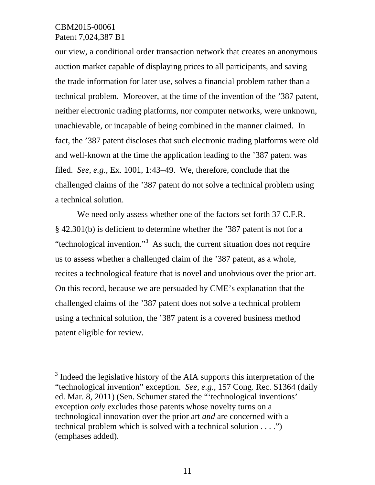$\overline{a}$ 

our view, a conditional order transaction network that creates an anonymous auction market capable of displaying prices to all participants, and saving the trade information for later use, solves a financial problem rather than a technical problem. Moreover, at the time of the invention of the '387 patent, neither electronic trading platforms, nor computer networks, were unknown, unachievable, or incapable of being combined in the manner claimed. In fact, the '387 patent discloses that such electronic trading platforms were old and well-known at the time the application leading to the '387 patent was filed. *See, e.g.*, Ex. 1001, 1:43–49. We, therefore, conclude that the challenged claims of the '387 patent do not solve a technical problem using a technical solution.

We need only assess whether one of the factors set forth 37 C.F.R. § 42.301(b) is deficient to determine whether the '387 patent is not for a "technological invention."<sup>3</sup> As such, the current situation does not require us to assess whether a challenged claim of the '387 patent, as a whole, recites a technological feature that is novel and unobvious over the prior art. On this record, because we are persuaded by CME's explanation that the challenged claims of the '387 patent does not solve a technical problem using a technical solution, the '387 patent is a covered business method patent eligible for review.

 $3$  Indeed the legislative history of the AIA supports this interpretation of the "technological invention" exception. *See, e.g.*, 157 Cong. Rec. S1364 (daily ed. Mar. 8, 2011) (Sen. Schumer stated the "'technological inventions' exception *only* excludes those patents whose novelty turns on a technological innovation over the prior art *and* are concerned with a technical problem which is solved with a technical solution . . . .") (emphases added).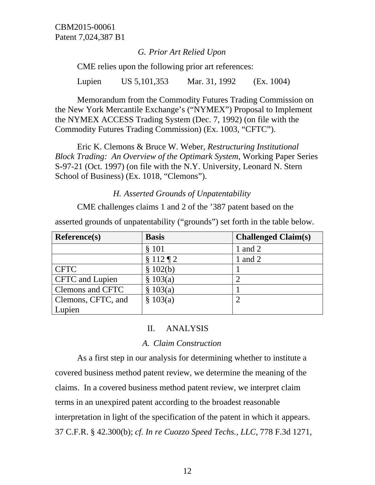### *G. Prior Art Relied Upon*

CME relies upon the following prior art references:

Lupien US 5,101,353 Mar. 31, 1992 (Ex. 1004)

Memorandum from the Commodity Futures Trading Commission on the New York Mercantile Exchange's ("NYMEX") Proposal to Implement the NYMEX ACCESS Trading System (Dec. 7, 1992) (on file with the Commodity Futures Trading Commission) (Ex. 1003, "CFTC").

Eric K. Clemons & Bruce W. Weber, *Restructuring Institutional Block Trading: An Overview of the Optimark System*, Working Paper Series S-97-21 (Oct. 1997) (on file with the N.Y. University, Leonard N. Stern School of Business) (Ex. 1018, "Clemons").

*H. Asserted Grounds of Unpatentability* 

CME challenges claims 1 and 2 of the '387 patent based on the

asserted grounds of unpatentability ("grounds") set forth in the table below.

| <b>Reference(s)</b>    | <b>Basis</b> | <b>Challenged Claim(s)</b> |
|------------------------|--------------|----------------------------|
|                        | \$101        | 1 and 2                    |
|                        | $$112\P2$    | 1 and $2$                  |
| <b>CFTC</b>            | \$102(b)     |                            |
| <b>CFTC</b> and Lupien | \$103(a)     | റ                          |
| Clemons and CFTC       | 103(a)<br>\$ |                            |
| Clemons, CFTC, and     | \$103(a)     | $\overline{2}$             |
| Lupien                 |              |                            |

### II. ANALYSIS

#### *A. Claim Construction*

 As a first step in our analysis for determining whether to institute a covered business method patent review, we determine the meaning of the claims. In a covered business method patent review, we interpret claim terms in an unexpired patent according to the broadest reasonable interpretation in light of the specification of the patent in which it appears. 37 C.F.R. § 42.300(b); *cf. In re Cuozzo Speed Techs., LLC*, 778 F.3d 1271,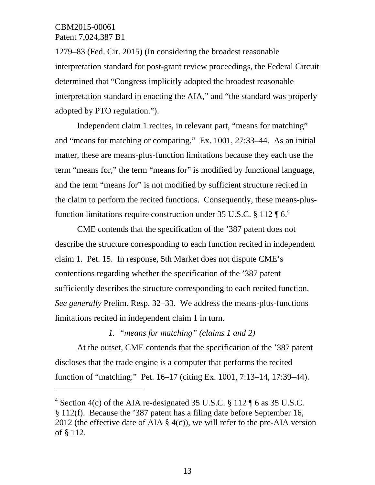$\overline{a}$ 

1279–83 (Fed. Cir. 2015) (In considering the broadest reasonable interpretation standard for post-grant review proceedings, the Federal Circuit determined that "Congress implicitly adopted the broadest reasonable interpretation standard in enacting the AIA," and "the standard was properly adopted by PTO regulation.").

 Independent claim 1 recites, in relevant part, "means for matching" and "means for matching or comparing." Ex. 1001, 27:33–44. As an initial matter, these are means-plus-function limitations because they each use the term "means for," the term "means for" is modified by functional language, and the term "means for" is not modified by sufficient structure recited in the claim to perform the recited functions. Consequently, these means-plusfunction limitations require construction under 35 U.S.C. § 112  $\P 6<sup>4</sup>$ 

 CME contends that the specification of the '387 patent does not describe the structure corresponding to each function recited in independent claim 1. Pet. 15. In response, 5th Market does not dispute CME's contentions regarding whether the specification of the '387 patent sufficiently describes the structure corresponding to each recited function. *See generally* Prelim. Resp. 32–33. We address the means-plus-functions limitations recited in independent claim 1 in turn.

#### *1. "means for matching" (claims 1 and 2)*

At the outset, CME contends that the specification of the '387 patent discloses that the trade engine is a computer that performs the recited function of "matching." Pet. 16–17 (citing Ex. 1001, 7:13–14, 17:39–44).

<sup>&</sup>lt;sup>4</sup> Section 4(c) of the AIA re-designated 35 U.S.C. § 112 ¶ 6 as 35 U.S.C. § 112(f). Because the '387 patent has a filing date before September 16, 2012 (the effective date of AIA  $\S$  4(c)), we will refer to the pre-AIA version of § 112.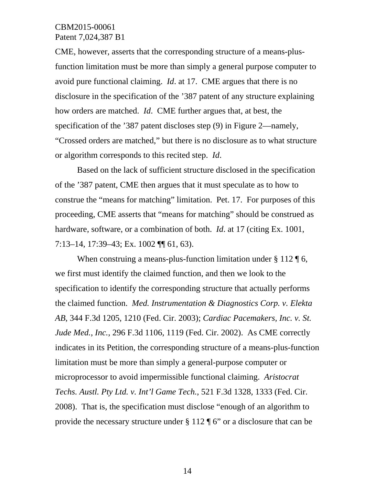CME, however, asserts that the corresponding structure of a means-plusfunction limitation must be more than simply a general purpose computer to avoid pure functional claiming. *Id*. at 17. CME argues that there is no disclosure in the specification of the '387 patent of any structure explaining how orders are matched. *Id*. CME further argues that, at best, the specification of the '387 patent discloses step (9) in Figure 2—namely, "Crossed orders are matched," but there is no disclosure as to what structure or algorithm corresponds to this recited step. *Id*.

Based on the lack of sufficient structure disclosed in the specification of the '387 patent, CME then argues that it must speculate as to how to construe the "means for matching" limitation. Pet. 17. For purposes of this proceeding, CME asserts that "means for matching" should be construed as hardware, software, or a combination of both. *Id*. at 17 (citing Ex. 1001, 7:13–14, 17:39–43; Ex. 1002 ¶¶ 61, 63).

When construing a means-plus-function limitation under § 112 ¶ 6, we first must identify the claimed function, and then we look to the specification to identify the corresponding structure that actually performs the claimed function. *Med. Instrumentation & Diagnostics Corp. v. Elekta AB*, 344 F.3d 1205, 1210 (Fed. Cir. 2003); *Cardiac Pacemakers, Inc. v. St. Jude Med., Inc.*, 296 F.3d 1106, 1119 (Fed. Cir. 2002). As CME correctly indicates in its Petition, the corresponding structure of a means-plus-function limitation must be more than simply a general-purpose computer or microprocessor to avoid impermissible functional claiming. *Aristocrat Techs. Austl. Pty Ltd. v. Int'l Game Tech.*, 521 F.3d 1328, 1333 (Fed. Cir. 2008). That is, the specification must disclose "enough of an algorithm to provide the necessary structure under § 112 ¶ 6" or a disclosure that can be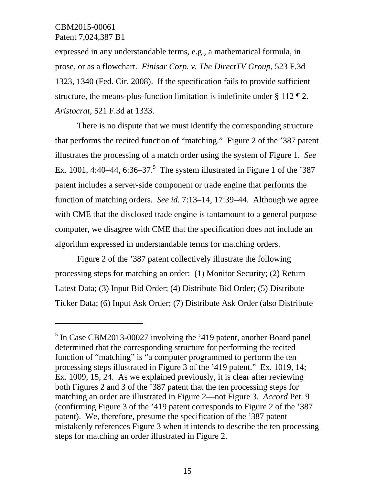l

expressed in any understandable terms, e.g., a mathematical formula, in prose, or as a flowchart. *Finisar Corp. v. The DirectTV Group*, 523 F.3d 1323, 1340 (Fed. Cir. 2008). If the specification fails to provide sufficient structure, the means-plus-function limitation is indefinite under § 112 ¶ 2. *Aristocrat*, 521 F.3d at 1333.

There is no dispute that we must identify the corresponding structure that performs the recited function of "matching." Figure 2 of the '387 patent illustrates the processing of a match order using the system of Figure 1. *See* Ex. 1001, 4:40–44, 6:36–37.<sup>5</sup> The system illustrated in Figure 1 of the '387 patent includes a server-side component or trade engine that performs the function of matching orders. *See id*. 7:13–14, 17:39–44. Although we agree with CME that the disclosed trade engine is tantamount to a general purpose computer, we disagree with CME that the specification does not include an algorithm expressed in understandable terms for matching orders.

Figure 2 of the '387 patent collectively illustrate the following processing steps for matching an order: (1) Monitor Security; (2) Return Latest Data; (3) Input Bid Order; (4) Distribute Bid Order; (5) Distribute Ticker Data; (6) Input Ask Order; (7) Distribute Ask Order (also Distribute

<sup>&</sup>lt;sup>5</sup> In Case CBM2013-00027 involving the '419 patent, another Board panel determined that the corresponding structure for performing the recited function of "matching" is "a computer programmed to perform the ten processing steps illustrated in Figure 3 of the '419 patent." Ex. 1019, 14; Ex. 1009, 15, 24. As we explained previously, it is clear after reviewing both Figures 2 and 3 of the '387 patent that the ten processing steps for matching an order are illustrated in Figure 2—not Figure 3. *Accord* Pet. 9 (confirming Figure 3 of the '419 patent corresponds to Figure 2 of the '387 patent). We, therefore, presume the specification of the '387 patent mistakenly references Figure 3 when it intends to describe the ten processing steps for matching an order illustrated in Figure 2.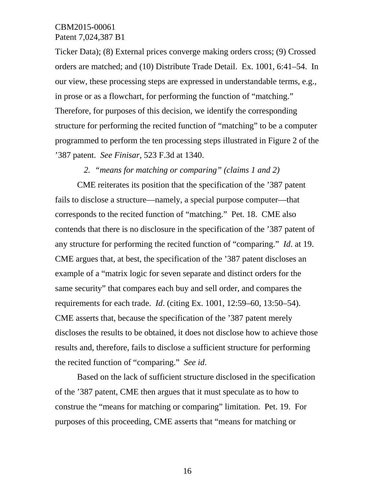Ticker Data); (8) External prices converge making orders cross; (9) Crossed orders are matched; and (10) Distribute Trade Detail. Ex. 1001, 6:41–54. In our view, these processing steps are expressed in understandable terms, e.g., in prose or as a flowchart, for performing the function of "matching." Therefore, for purposes of this decision, we identify the corresponding structure for performing the recited function of "matching" to be a computer programmed to perform the ten processing steps illustrated in Figure 2 of the '387 patent. *See Finisar*, 523 F.3d at 1340.

#### *2. "means for matching or comparing" (claims 1 and 2)*

CME reiterates its position that the specification of the '387 patent fails to disclose a structure—namely, a special purpose computer—that corresponds to the recited function of "matching." Pet. 18. CME also contends that there is no disclosure in the specification of the '387 patent of any structure for performing the recited function of "comparing." *Id*. at 19. CME argues that, at best, the specification of the '387 patent discloses an example of a "matrix logic for seven separate and distinct orders for the same security" that compares each buy and sell order, and compares the requirements for each trade. *Id*. (citing Ex. 1001, 12:59–60, 13:50–54). CME asserts that, because the specification of the '387 patent merely discloses the results to be obtained, it does not disclose how to achieve those results and, therefore, fails to disclose a sufficient structure for performing the recited function of "comparing." *See id*.

Based on the lack of sufficient structure disclosed in the specification of the '387 patent, CME then argues that it must speculate as to how to construe the "means for matching or comparing" limitation. Pet. 19. For purposes of this proceeding, CME asserts that "means for matching or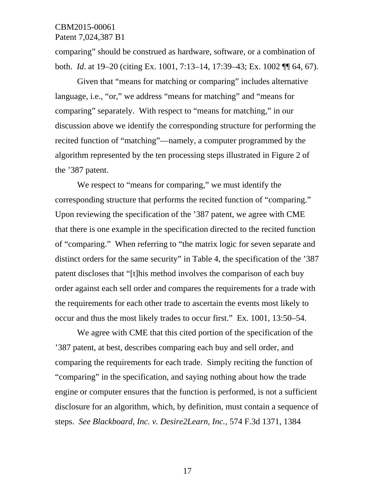comparing" should be construed as hardware, software, or a combination of both. *Id*. at 19–20 (citing Ex. 1001, 7:13–14, 17:39–43; Ex. 1002 ¶¶ 64, 67).

Given that "means for matching or comparing" includes alternative language, i.e., "or," we address "means for matching" and "means for comparing" separately. With respect to "means for matching," in our discussion above we identify the corresponding structure for performing the recited function of "matching"—namely, a computer programmed by the algorithm represented by the ten processing steps illustrated in Figure 2 of the '387 patent.

We respect to "means for comparing," we must identify the corresponding structure that performs the recited function of "comparing." Upon reviewing the specification of the '387 patent, we agree with CME that there is one example in the specification directed to the recited function of "comparing." When referring to "the matrix logic for seven separate and distinct orders for the same security" in Table 4, the specification of the '387 patent discloses that "[t]his method involves the comparison of each buy order against each sell order and compares the requirements for a trade with the requirements for each other trade to ascertain the events most likely to occur and thus the most likely trades to occur first." Ex. 1001, 13:50–54.

 We agree with CME that this cited portion of the specification of the '387 patent, at best, describes comparing each buy and sell order, and comparing the requirements for each trade. Simply reciting the function of "comparing" in the specification, and saying nothing about how the trade engine or computer ensures that the function is performed, is not a sufficient disclosure for an algorithm, which, by definition, must contain a sequence of steps. *See Blackboard, Inc. v. Desire2Learn, Inc.*, 574 F.3d 1371, 1384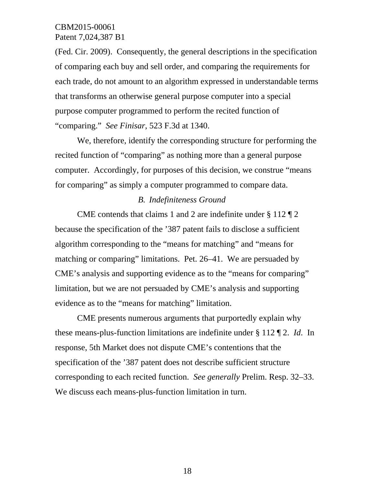(Fed. Cir. 2009). Consequently, the general descriptions in the specification of comparing each buy and sell order, and comparing the requirements for each trade, do not amount to an algorithm expressed in understandable terms that transforms an otherwise general purpose computer into a special purpose computer programmed to perform the recited function of "comparing." *See Finisar*, 523 F.3d at 1340.

 We, therefore, identify the corresponding structure for performing the recited function of "comparing" as nothing more than a general purpose computer. Accordingly, for purposes of this decision, we construe "means for comparing" as simply a computer programmed to compare data.

### *B. Indefiniteness Ground*

 CME contends that claims 1 and 2 are indefinite under § 112 ¶ 2 because the specification of the '387 patent fails to disclose a sufficient algorithm corresponding to the "means for matching" and "means for matching or comparing" limitations. Pet. 26–41. We are persuaded by CME's analysis and supporting evidence as to the "means for comparing" limitation, but we are not persuaded by CME's analysis and supporting evidence as to the "means for matching" limitation.

 CME presents numerous arguments that purportedly explain why these means-plus-function limitations are indefinite under § 112 ¶ 2. *Id*. In response, 5th Market does not dispute CME's contentions that the specification of the '387 patent does not describe sufficient structure corresponding to each recited function. *See generally* Prelim. Resp. 32–33. We discuss each means-plus-function limitation in turn.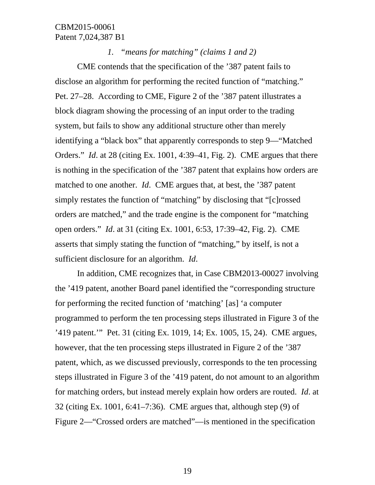*1. "means for matching" (claims 1 and 2)* 

 CME contends that the specification of the '387 patent fails to disclose an algorithm for performing the recited function of "matching." Pet. 27–28. According to CME, Figure 2 of the '387 patent illustrates a block diagram showing the processing of an input order to the trading system, but fails to show any additional structure other than merely identifying a "black box" that apparently corresponds to step 9—"Matched Orders." *Id*. at 28 (citing Ex. 1001, 4:39–41, Fig. 2). CME argues that there is nothing in the specification of the '387 patent that explains how orders are matched to one another. *Id*. CME argues that, at best, the '387 patent simply restates the function of "matching" by disclosing that "[c]rossed orders are matched," and the trade engine is the component for "matching open orders." *Id*. at 31 (citing Ex. 1001, 6:53, 17:39–42, Fig. 2). CME asserts that simply stating the function of "matching," by itself, is not a sufficient disclosure for an algorithm. *Id*.

 In addition, CME recognizes that, in Case CBM2013-00027 involving the '419 patent, another Board panel identified the "corresponding structure for performing the recited function of 'matching' [as] 'a computer programmed to perform the ten processing steps illustrated in Figure 3 of the '419 patent.'" Pet. 31 (citing Ex. 1019, 14; Ex. 1005, 15, 24). CME argues, however, that the ten processing steps illustrated in Figure 2 of the '387 patent, which, as we discussed previously, corresponds to the ten processing steps illustrated in Figure 3 of the '419 patent, do not amount to an algorithm for matching orders, but instead merely explain how orders are routed. *Id*. at 32 (citing Ex. 1001, 6:41–7:36). CME argues that, although step (9) of Figure 2—"Crossed orders are matched"—is mentioned in the specification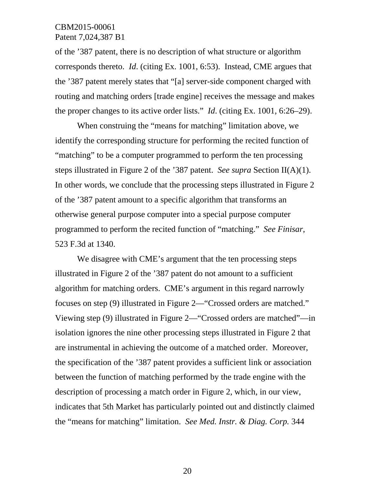of the '387 patent, there is no description of what structure or algorithm corresponds thereto. *Id*. (citing Ex. 1001, 6:53). Instead, CME argues that the '387 patent merely states that "[a] server-side component charged with routing and matching orders [trade engine] receives the message and makes the proper changes to its active order lists." *Id*. (citing Ex. 1001, 6:26–29).

 When construing the "means for matching" limitation above, we identify the corresponding structure for performing the recited function of "matching" to be a computer programmed to perform the ten processing steps illustrated in Figure 2 of the '387 patent. *See supra* Section II(A)(1). In other words, we conclude that the processing steps illustrated in Figure 2 of the '387 patent amount to a specific algorithm that transforms an otherwise general purpose computer into a special purpose computer programmed to perform the recited function of "matching." *See Finisar*, 523 F.3d at 1340.

We disagree with CME's argument that the ten processing steps illustrated in Figure 2 of the '387 patent do not amount to a sufficient algorithm for matching orders. CME's argument in this regard narrowly focuses on step (9) illustrated in Figure 2—"Crossed orders are matched." Viewing step (9) illustrated in Figure 2—"Crossed orders are matched"—in isolation ignores the nine other processing steps illustrated in Figure 2 that are instrumental in achieving the outcome of a matched order. Moreover, the specification of the '387 patent provides a sufficient link or association between the function of matching performed by the trade engine with the description of processing a match order in Figure 2, which, in our view, indicates that 5th Market has particularly pointed out and distinctly claimed the "means for matching" limitation. *See Med. Instr. & Diag. Corp.* 344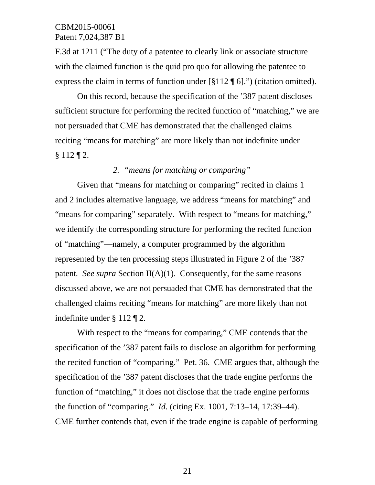F.3d at 1211 ("The duty of a patentee to clearly link or associate structure with the claimed function is the quid pro quo for allowing the patentee to express the claim in terms of function under  $\lceil \xi 112 \P 6 \rceil$ .") (citation omitted).

 On this record, because the specification of the '387 patent discloses sufficient structure for performing the recited function of "matching," we are not persuaded that CME has demonstrated that the challenged claims reciting "means for matching" are more likely than not indefinite under § 112 ¶ 2.

## *2. "means for matching or comparing"*

Given that "means for matching or comparing" recited in claims 1 and 2 includes alternative language, we address "means for matching" and "means for comparing" separately. With respect to "means for matching," we identify the corresponding structure for performing the recited function of "matching"—namely, a computer programmed by the algorithm represented by the ten processing steps illustrated in Figure 2 of the '387 patent*. See supra* Section II(A)(1). Consequently, for the same reasons discussed above, we are not persuaded that CME has demonstrated that the challenged claims reciting "means for matching" are more likely than not indefinite under § 112 ¶ 2.

 With respect to the "means for comparing," CME contends that the specification of the '387 patent fails to disclose an algorithm for performing the recited function of "comparing." Pet. 36. CME argues that, although the specification of the '387 patent discloses that the trade engine performs the function of "matching," it does not disclose that the trade engine performs the function of "comparing." *Id*. (citing Ex. 1001, 7:13–14, 17:39–44). CME further contends that, even if the trade engine is capable of performing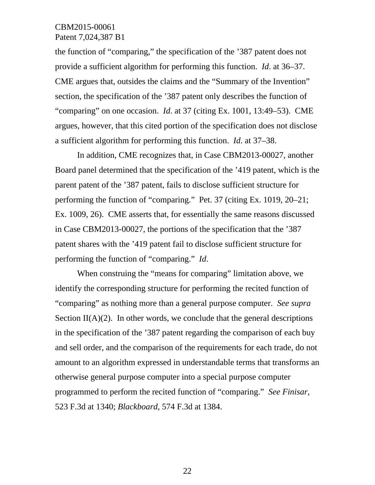the function of "comparing," the specification of the '387 patent does not provide a sufficient algorithm for performing this function. *Id*. at 36–37. CME argues that, outsides the claims and the "Summary of the Invention" section, the specification of the '387 patent only describes the function of "comparing" on one occasion. *Id*. at 37 (citing Ex. 1001, 13:49–53). CME argues, however, that this cited portion of the specification does not disclose a sufficient algorithm for performing this function. *Id*. at 37–38.

 In addition, CME recognizes that, in Case CBM2013-00027, another Board panel determined that the specification of the '419 patent, which is the parent patent of the '387 patent, fails to disclose sufficient structure for performing the function of "comparing." Pet. 37 (citing Ex. 1019, 20–21; Ex. 1009, 26). CME asserts that, for essentially the same reasons discussed in Case CBM2013-00027, the portions of the specification that the '387 patent shares with the '419 patent fail to disclose sufficient structure for performing the function of "comparing." *Id*.

 When construing the "means for comparing" limitation above, we identify the corresponding structure for performing the recited function of "comparing" as nothing more than a general purpose computer. *See supra* Section  $II(A)(2)$ . In other words, we conclude that the general descriptions in the specification of the '387 patent regarding the comparison of each buy and sell order, and the comparison of the requirements for each trade, do not amount to an algorithm expressed in understandable terms that transforms an otherwise general purpose computer into a special purpose computer programmed to perform the recited function of "comparing." *See Finisar*, 523 F.3d at 1340; *Blackboard*, 574 F.3d at 1384.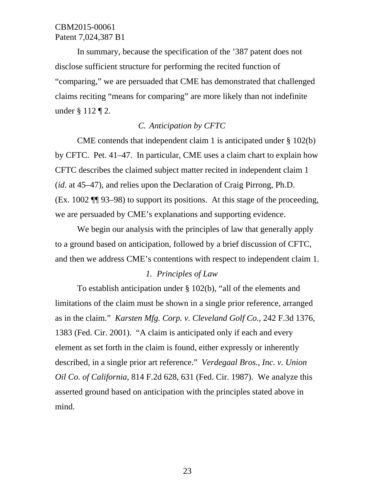In summary, because the specification of the '387 patent does not disclose sufficient structure for performing the recited function of "comparing," we are persuaded that CME has demonstrated that challenged claims reciting "means for comparing" are more likely than not indefinite under § 112 ¶ 2.

## *C. Anticipation by CFTC*

 CME contends that independent claim 1 is anticipated under § 102(b) by CFTC. Pet. 41–47. In particular, CME uses a claim chart to explain how CFTC describes the claimed subject matter recited in independent claim 1 (*id*. at 45–47), and relies upon the Declaration of Craig Pirrong, Ph.D. (Ex. 1002 ¶¶ 93–98) to support its positions. At this stage of the proceeding, we are persuaded by CME's explanations and supporting evidence.

We begin our analysis with the principles of law that generally apply to a ground based on anticipation, followed by a brief discussion of CFTC, and then we address CME's contentions with respect to independent claim 1.

### *1. Principles of Law*

To establish anticipation under § 102(b), "all of the elements and limitations of the claim must be shown in a single prior reference, arranged as in the claim." *Karsten Mfg. Corp. v. Cleveland Golf Co.*, 242 F.3d 1376, 1383 (Fed. Cir. 2001). "A claim is anticipated only if each and every element as set forth in the claim is found, either expressly or inherently described, in a single prior art reference." *Verdegaal Bros., Inc. v. Union Oil Co. of California*, 814 F.2d 628, 631 (Fed. Cir. 1987). We analyze this asserted ground based on anticipation with the principles stated above in mind.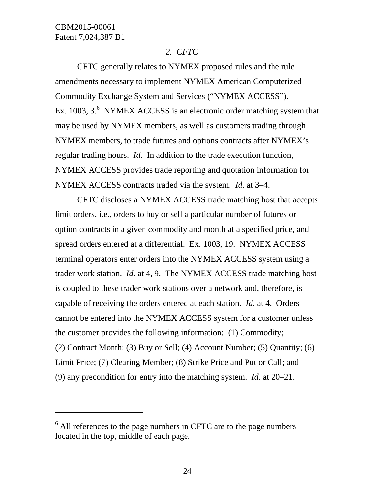$\overline{a}$ 

## *2. CFTC*

 CFTC generally relates to NYMEX proposed rules and the rule amendments necessary to implement NYMEX American Computerized Commodity Exchange System and Services ("NYMEX ACCESS"). Ex. 1003,  $3.6$  NYMEX ACCESS is an electronic order matching system that may be used by NYMEX members, as well as customers trading through NYMEX members, to trade futures and options contracts after NYMEX's regular trading hours. *Id*. In addition to the trade execution function, NYMEX ACCESS provides trade reporting and quotation information for NYMEX ACCESS contracts traded via the system. *Id*. at 3–4.

 CFTC discloses a NYMEX ACCESS trade matching host that accepts limit orders, i.e., orders to buy or sell a particular number of futures or option contracts in a given commodity and month at a specified price, and spread orders entered at a differential. Ex. 1003, 19. NYMEX ACCESS terminal operators enter orders into the NYMEX ACCESS system using a trader work station. *Id*. at 4, 9. The NYMEX ACCESS trade matching host is coupled to these trader work stations over a network and, therefore, is capable of receiving the orders entered at each station. *Id*. at 4. Orders cannot be entered into the NYMEX ACCESS system for a customer unless the customer provides the following information: (1) Commodity; (2) Contract Month; (3) Buy or Sell; (4) Account Number; (5) Quantity; (6) Limit Price; (7) Clearing Member; (8) Strike Price and Put or Call; and (9) any precondition for entry into the matching system. *Id*. at 20–21.

 $6$  All references to the page numbers in CFTC are to the page numbers located in the top, middle of each page.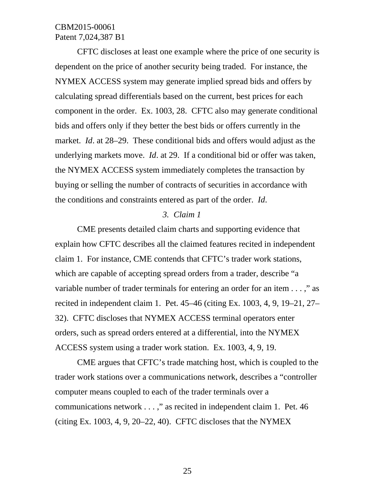CFTC discloses at least one example where the price of one security is dependent on the price of another security being traded. For instance, the NYMEX ACCESS system may generate implied spread bids and offers by calculating spread differentials based on the current, best prices for each component in the order. Ex. 1003, 28. CFTC also may generate conditional bids and offers only if they better the best bids or offers currently in the market. *Id*. at 28–29. These conditional bids and offers would adjust as the underlying markets move. *Id*. at 29. If a conditional bid or offer was taken, the NYMEX ACCESS system immediately completes the transaction by buying or selling the number of contracts of securities in accordance with the conditions and constraints entered as part of the order. *Id*.

### *3. Claim 1*

 CME presents detailed claim charts and supporting evidence that explain how CFTC describes all the claimed features recited in independent claim 1. For instance, CME contends that CFTC's trader work stations, which are capable of accepting spread orders from a trader, describe "a variable number of trader terminals for entering an order for an item . . . ," as recited in independent claim 1. Pet. 45–46 (citing Ex. 1003, 4, 9, 19–21, 27– 32). CFTC discloses that NYMEX ACCESS terminal operators enter orders, such as spread orders entered at a differential, into the NYMEX ACCESS system using a trader work station. Ex. 1003, 4, 9, 19.

 CME argues that CFTC's trade matching host, which is coupled to the trader work stations over a communications network, describes a "controller computer means coupled to each of the trader terminals over a communications network . . . ," as recited in independent claim 1. Pet. 46 (citing Ex.  $1003$ , 4, 9, 20–22, 40). CFTC discloses that the NYMEX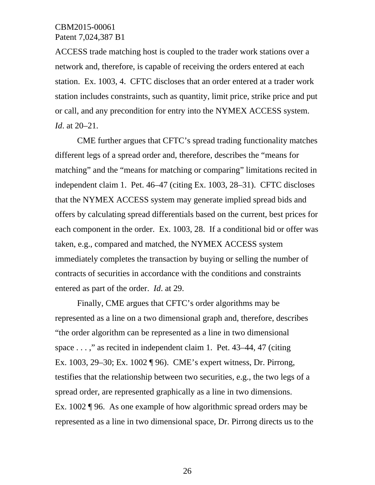ACCESS trade matching host is coupled to the trader work stations over a network and, therefore, is capable of receiving the orders entered at each station. Ex. 1003, 4. CFTC discloses that an order entered at a trader work station includes constraints, such as quantity, limit price, strike price and put or call, and any precondition for entry into the NYMEX ACCESS system. *Id*. at 20–21.

 CME further argues that CFTC's spread trading functionality matches different legs of a spread order and, therefore, describes the "means for matching" and the "means for matching or comparing" limitations recited in independent claim 1. Pet. 46–47 (citing Ex. 1003, 28–31). CFTC discloses that the NYMEX ACCESS system may generate implied spread bids and offers by calculating spread differentials based on the current, best prices for each component in the order. Ex. 1003, 28. If a conditional bid or offer was taken, e.g., compared and matched, the NYMEX ACCESS system immediately completes the transaction by buying or selling the number of contracts of securities in accordance with the conditions and constraints entered as part of the order. *Id*. at 29.

 Finally, CME argues that CFTC's order algorithms may be represented as a line on a two dimensional graph and, therefore, describes "the order algorithm can be represented as a line in two dimensional space  $\dots$ ," as recited in independent claim 1. Pet. 43–44, 47 (citing Ex. 1003, 29–30; Ex. 1002 ¶ 96). CME's expert witness, Dr. Pirrong, testifies that the relationship between two securities, e.g., the two legs of a spread order, are represented graphically as a line in two dimensions. Ex. 1002 ¶ 96. As one example of how algorithmic spread orders may be represented as a line in two dimensional space, Dr. Pirrong directs us to the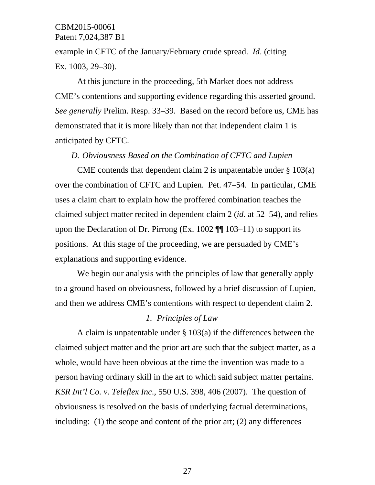example in CFTC of the January/February crude spread. *Id*. (citing Ex. 1003, 29–30).

 At this juncture in the proceeding, 5th Market does not address CME's contentions and supporting evidence regarding this asserted ground. *See generally* Prelim. Resp. 33–39. Based on the record before us, CME has demonstrated that it is more likely than not that independent claim 1 is anticipated by CFTC.

#### *D. Obviousness Based on the Combination of CFTC and Lupien*

 CME contends that dependent claim 2 is unpatentable under § 103(a) over the combination of CFTC and Lupien. Pet. 47–54. In particular, CME uses a claim chart to explain how the proffered combination teaches the claimed subject matter recited in dependent claim 2 (*id*. at 52–54), and relies upon the Declaration of Dr. Pirrong (Ex. 1002  $\P$  $\P$  103–11) to support its positions. At this stage of the proceeding, we are persuaded by CME's explanations and supporting evidence.

We begin our analysis with the principles of law that generally apply to a ground based on obviousness, followed by a brief discussion of Lupien, and then we address CME's contentions with respect to dependent claim 2.

#### *1. Principles of Law*

A claim is unpatentable under § 103(a) if the differences between the claimed subject matter and the prior art are such that the subject matter, as a whole, would have been obvious at the time the invention was made to a person having ordinary skill in the art to which said subject matter pertains. *KSR Int'l Co. v. Teleflex Inc*., 550 U.S. 398, 406 (2007). The question of obviousness is resolved on the basis of underlying factual determinations, including: (1) the scope and content of the prior art; (2) any differences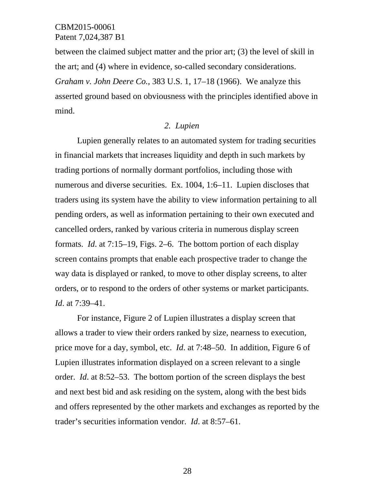between the claimed subject matter and the prior art; (3) the level of skill in the art; and (4) where in evidence, so-called secondary considerations. *Graham v. John Deere Co.*, 383 U.S. 1, 17–18 (1966). We analyze this asserted ground based on obviousness with the principles identified above in mind.

#### *2. Lupien*

 Lupien generally relates to an automated system for trading securities in financial markets that increases liquidity and depth in such markets by trading portions of normally dormant portfolios, including those with numerous and diverse securities. Ex. 1004, 1:6–11. Lupien discloses that traders using its system have the ability to view information pertaining to all pending orders, as well as information pertaining to their own executed and cancelled orders, ranked by various criteria in numerous display screen formats. *Id*. at 7:15–19, Figs. 2–6. The bottom portion of each display screen contains prompts that enable each prospective trader to change the way data is displayed or ranked, to move to other display screens, to alter orders, or to respond to the orders of other systems or market participants. *Id*. at 7:39–41.

 For instance, Figure 2 of Lupien illustrates a display screen that allows a trader to view their orders ranked by size, nearness to execution, price move for a day, symbol, etc. *Id*. at 7:48–50. In addition, Figure 6 of Lupien illustrates information displayed on a screen relevant to a single order. *Id*. at 8:52–53. The bottom portion of the screen displays the best and next best bid and ask residing on the system, along with the best bids and offers represented by the other markets and exchanges as reported by the trader's securities information vendor. *Id*. at 8:57–61.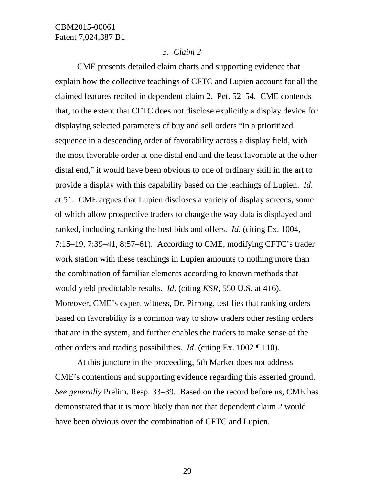#### *3. Claim 2*

 CME presents detailed claim charts and supporting evidence that explain how the collective teachings of CFTC and Lupien account for all the claimed features recited in dependent claim 2. Pet. 52–54. CME contends that, to the extent that CFTC does not disclose explicitly a display device for displaying selected parameters of buy and sell orders "in a prioritized sequence in a descending order of favorability across a display field, with the most favorable order at one distal end and the least favorable at the other distal end," it would have been obvious to one of ordinary skill in the art to provide a display with this capability based on the teachings of Lupien. *Id*. at 51. CME argues that Lupien discloses a variety of display screens, some of which allow prospective traders to change the way data is displayed and ranked, including ranking the best bids and offers. *Id*. (citing Ex. 1004, 7:15–19, 7:39–41, 8:57–61). According to CME, modifying CFTC's trader work station with these teachings in Lupien amounts to nothing more than the combination of familiar elements according to known methods that would yield predictable results. *Id*. (citing *KSR*, 550 U.S. at 416). Moreover, CME's expert witness, Dr. Pirrong, testifies that ranking orders based on favorability is a common way to show traders other resting orders that are in the system, and further enables the traders to make sense of the other orders and trading possibilities. *Id*. (citing Ex. 1002 ¶ 110).

 At this juncture in the proceeding, 5th Market does not address CME's contentions and supporting evidence regarding this asserted ground. *See generally* Prelim. Resp. 33–39. Based on the record before us, CME has demonstrated that it is more likely than not that dependent claim 2 would have been obvious over the combination of CFTC and Lupien.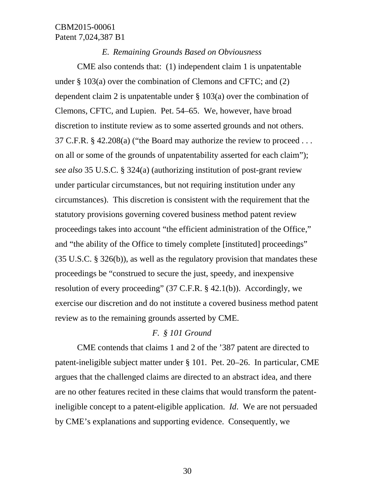#### *E. Remaining Grounds Based on Obviousness*

CME also contends that: (1) independent claim 1 is unpatentable under § 103(a) over the combination of Clemons and CFTC; and (2) dependent claim 2 is unpatentable under § 103(a) over the combination of Clemons, CFTC, and Lupien. Pet. 54–65. We, however, have broad discretion to institute review as to some asserted grounds and not others. 37 C.F.R. § 42.208(a) ("the Board may authorize the review to proceed . . . on all or some of the grounds of unpatentability asserted for each claim"); *see also* 35 U.S.C. § 324(a) (authorizing institution of post-grant review under particular circumstances, but not requiring institution under any circumstances). This discretion is consistent with the requirement that the statutory provisions governing covered business method patent review proceedings takes into account "the efficient administration of the Office," and "the ability of the Office to timely complete [instituted] proceedings" (35 U.S.C. § 326(b)), as well as the regulatory provision that mandates these proceedings be "construed to secure the just, speedy, and inexpensive resolution of every proceeding" (37 C.F.R. § 42.1(b)). Accordingly, we exercise our discretion and do not institute a covered business method patent review as to the remaining grounds asserted by CME.

#### *F. § 101 Ground*

 CME contends that claims 1 and 2 of the '387 patent are directed to patent-ineligible subject matter under § 101. Pet. 20–26. In particular, CME argues that the challenged claims are directed to an abstract idea, and there are no other features recited in these claims that would transform the patentineligible concept to a patent-eligible application. *Id*. We are not persuaded by CME's explanations and supporting evidence. Consequently, we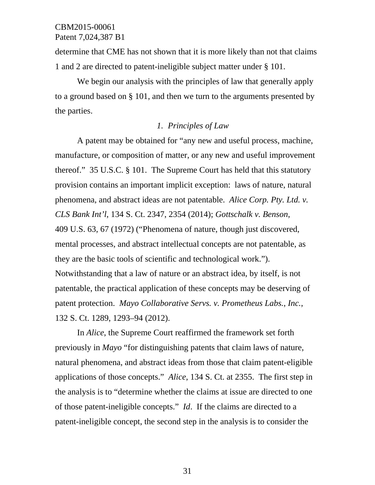determine that CME has not shown that it is more likely than not that claims 1 and 2 are directed to patent-ineligible subject matter under § 101.

We begin our analysis with the principles of law that generally apply to a ground based on § 101, and then we turn to the arguments presented by the parties.

### *1. Principles of Law*

A patent may be obtained for "any new and useful process, machine, manufacture, or composition of matter, or any new and useful improvement thereof." 35 U.S.C. § 101. The Supreme Court has held that this statutory provision contains an important implicit exception: laws of nature, natural phenomena, and abstract ideas are not patentable. *Alice Corp. Pty. Ltd. v. CLS Bank Int'l*, 134 S. Ct. 2347, 2354 (2014); *Gottschalk v. Benson*, 409 U.S. 63, 67 (1972) ("Phenomena of nature, though just discovered, mental processes, and abstract intellectual concepts are not patentable, as they are the basic tools of scientific and technological work."). Notwithstanding that a law of nature or an abstract idea, by itself, is not patentable, the practical application of these concepts may be deserving of patent protection. *Mayo Collaborative Servs. v. Prometheus Labs., Inc.*, 132 S. Ct. 1289, 1293–94 (2012).

In *Alice*, the Supreme Court reaffirmed the framework set forth previously in *Mayo* "for distinguishing patents that claim laws of nature, natural phenomena, and abstract ideas from those that claim patent-eligible applications of those concepts." *Alice*, 134 S. Ct. at 2355. The first step in the analysis is to "determine whether the claims at issue are directed to one of those patent-ineligible concepts." *Id*. If the claims are directed to a patent-ineligible concept, the second step in the analysis is to consider the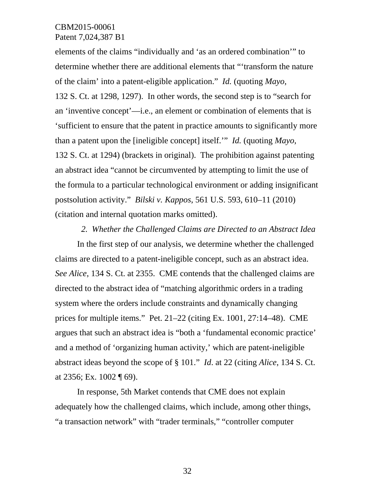elements of the claims "individually and 'as an ordered combination'" to determine whether there are additional elements that "'transform the nature of the claim' into a patent-eligible application." *Id.* (quoting *Mayo*, 132 S. Ct. at 1298, 1297). In other words, the second step is to "search for an 'inventive concept'—i.e., an element or combination of elements that is 'sufficient to ensure that the patent in practice amounts to significantly more than a patent upon the [ineligible concept] itself.'" *Id.* (quoting *Mayo*, 132 S. Ct. at 1294) (brackets in original). The prohibition against patenting an abstract idea "cannot be circumvented by attempting to limit the use of the formula to a particular technological environment or adding insignificant postsolution activity." *Bilski v. Kappos*, 561 U.S. 593, 610–11 (2010) (citation and internal quotation marks omitted).

#### *2. Whether the Challenged Claims are Directed to an Abstract Idea*

In the first step of our analysis, we determine whether the challenged claims are directed to a patent-ineligible concept, such as an abstract idea. *See Alice*, 134 S. Ct. at 2355. CME contends that the challenged claims are directed to the abstract idea of "matching algorithmic orders in a trading system where the orders include constraints and dynamically changing prices for multiple items." Pet. 21–22 (citing Ex. 1001, 27:14–48). CME argues that such an abstract idea is "both a 'fundamental economic practice' and a method of 'organizing human activity,' which are patent-ineligible abstract ideas beyond the scope of § 101." *Id*. at 22 (citing *Alice*, 134 S. Ct. at 2356; Ex. 1002 ¶ 69).

In response, 5th Market contends that CME does not explain adequately how the challenged claims, which include, among other things, "a transaction network" with "trader terminals," "controller computer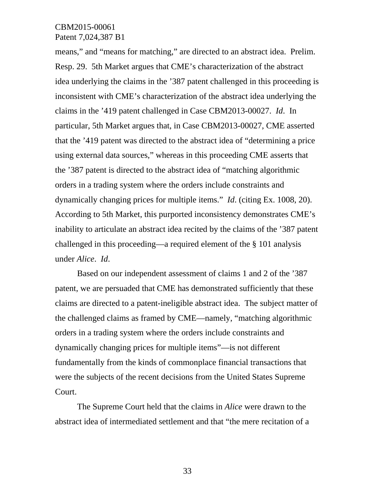means," and "means for matching," are directed to an abstract idea. Prelim. Resp. 29. 5th Market argues that CME's characterization of the abstract idea underlying the claims in the '387 patent challenged in this proceeding is inconsistent with CME's characterization of the abstract idea underlying the claims in the '419 patent challenged in Case CBM2013-00027. *Id*. In particular, 5th Market argues that, in Case CBM2013-00027, CME asserted that the '419 patent was directed to the abstract idea of "determining a price using external data sources," whereas in this proceeding CME asserts that the '387 patent is directed to the abstract idea of "matching algorithmic orders in a trading system where the orders include constraints and dynamically changing prices for multiple items." *Id*. (citing Ex. 1008, 20). According to 5th Market, this purported inconsistency demonstrates CME's inability to articulate an abstract idea recited by the claims of the '387 patent challenged in this proceeding—a required element of the § 101 analysis under *Alice*. *Id*.

Based on our independent assessment of claims 1 and 2 of the '387 patent, we are persuaded that CME has demonstrated sufficiently that these claims are directed to a patent-ineligible abstract idea. The subject matter of the challenged claims as framed by CME—namely, "matching algorithmic orders in a trading system where the orders include constraints and dynamically changing prices for multiple items"—is not different fundamentally from the kinds of commonplace financial transactions that were the subjects of the recent decisions from the United States Supreme Court.

The Supreme Court held that the claims in *Alice* were drawn to the abstract idea of intermediated settlement and that "the mere recitation of a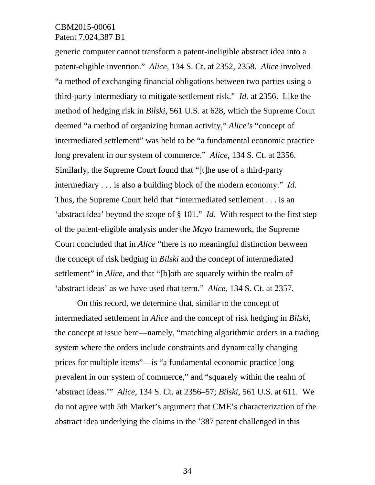generic computer cannot transform a patent-ineligible abstract idea into a patent-eligible invention." *Alice*, 134 S. Ct. at 2352, 2358. *Alice* involved "a method of exchanging financial obligations between two parties using a third-party intermediary to mitigate settlement risk." *Id*. at 2356. Like the method of hedging risk in *Bilski*, 561 U.S. at 628, which the Supreme Court deemed "a method of organizing human activity," *Alice's* "concept of intermediated settlement" was held to be "a fundamental economic practice long prevalent in our system of commerce." *Alice*, 134 S. Ct. at 2356. Similarly, the Supreme Court found that "[t]he use of a third-party intermediary . . . is also a building block of the modern economy." *Id*. Thus, the Supreme Court held that "intermediated settlement . . . is an 'abstract idea' beyond the scope of § 101." *Id.* With respect to the first step of the patent-eligible analysis under the *Mayo* framework, the Supreme Court concluded that in *Alice* "there is no meaningful distinction between the concept of risk hedging in *Bilski* and the concept of intermediated settlement" in *Alice*, and that "[b]oth are squarely within the realm of 'abstract ideas' as we have used that term." *Alice*, 134 S. Ct. at 2357.

On this record, we determine that, similar to the concept of intermediated settlement in *Alice* and the concept of risk hedging in *Bilski*, the concept at issue here—namely, "matching algorithmic orders in a trading system where the orders include constraints and dynamically changing prices for multiple items"—is "a fundamental economic practice long prevalent in our system of commerce," and "squarely within the realm of 'abstract ideas.'" *Alice*, 134 S. Ct. at 2356–57; *Bilski*, 561 U.S. at 611. We do not agree with 5th Market's argument that CME's characterization of the abstract idea underlying the claims in the '387 patent challenged in this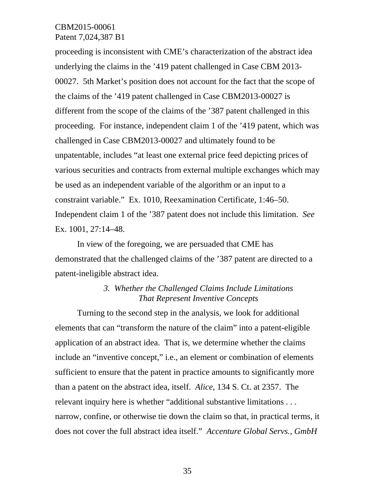proceeding is inconsistent with CME's characterization of the abstract idea underlying the claims in the '419 patent challenged in Case CBM 2013- 00027. 5th Market's position does not account for the fact that the scope of the claims of the '419 patent challenged in Case CBM2013-00027 is different from the scope of the claims of the '387 patent challenged in this proceeding. For instance, independent claim 1 of the '419 patent, which was challenged in Case CBM2013-00027 and ultimately found to be unpatentable, includes "at least one external price feed depicting prices of various securities and contracts from external multiple exchanges which may be used as an independent variable of the algorithm or an input to a constraint variable." Ex. 1010, Reexamination Certificate, 1:46–50. Independent claim 1 of the '387 patent does not include this limitation. *See* Ex. 1001, 27:14–48.

In view of the foregoing, we are persuaded that CME has demonstrated that the challenged claims of the '387 patent are directed to a patent-ineligible abstract idea.

## *3. Whether the Challenged Claims Include Limitations That Represent Inventive Concepts*

Turning to the second step in the analysis, we look for additional elements that can "transform the nature of the claim" into a patent-eligible application of an abstract idea. That is, we determine whether the claims include an "inventive concept," i.e., an element or combination of elements sufficient to ensure that the patent in practice amounts to significantly more than a patent on the abstract idea, itself. *Alice*, 134 S. Ct. at 2357. The relevant inquiry here is whether "additional substantive limitations . . . narrow, confine, or otherwise tie down the claim so that, in practical terms, it does not cover the full abstract idea itself." *Accenture Global Servs., GmbH*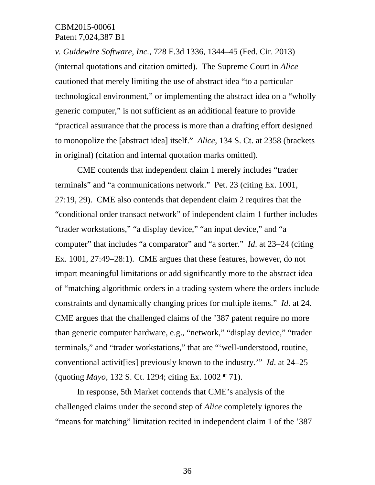*v. Guidewire Software, Inc.*, 728 F.3d 1336, 1344–45 (Fed. Cir. 2013) (internal quotations and citation omitted). The Supreme Court in *Alice*  cautioned that merely limiting the use of abstract idea "to a particular technological environment," or implementing the abstract idea on a "wholly generic computer," is not sufficient as an additional feature to provide "practical assurance that the process is more than a drafting effort designed to monopolize the [abstract idea] itself." *Alice*, 134 S. Ct. at 2358 (brackets in original) (citation and internal quotation marks omitted).

CME contends that independent claim 1 merely includes "trader terminals" and "a communications network." Pet. 23 (citing Ex. 1001, 27:19, 29). CME also contends that dependent claim 2 requires that the "conditional order transact network" of independent claim 1 further includes "trader workstations," "a display device," "an input device," and "a computer" that includes "a comparator" and "a sorter." *Id*. at 23–24 (citing Ex. 1001, 27:49–28:1). CME argues that these features, however, do not impart meaningful limitations or add significantly more to the abstract idea of "matching algorithmic orders in a trading system where the orders include constraints and dynamically changing prices for multiple items." *Id*. at 24. CME argues that the challenged claims of the '387 patent require no more than generic computer hardware, e.g., "network," "display device," "trader terminals," and "trader workstations," that are "'well-understood, routine, conventional activit[ies] previously known to the industry.'" *Id*. at 24–25 (quoting *Mayo*, 132 S. Ct. 1294; citing Ex. 1002 ¶ 71).

In response, 5th Market contends that CME's analysis of the challenged claims under the second step of *Alice* completely ignores the "means for matching" limitation recited in independent claim 1 of the '387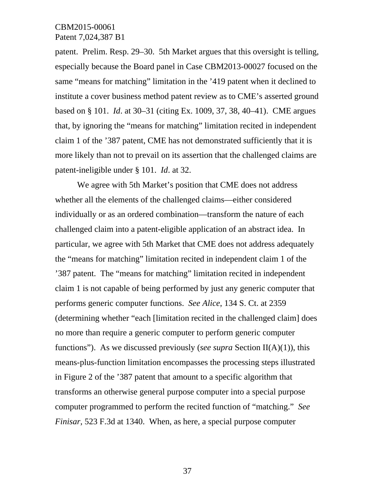patent. Prelim. Resp. 29–30. 5th Market argues that this oversight is telling, especially because the Board panel in Case CBM2013-00027 focused on the same "means for matching" limitation in the '419 patent when it declined to institute a cover business method patent review as to CME's asserted ground based on § 101. *Id*. at 30–31 (citing Ex. 1009, 37, 38, 40–41). CME argues that, by ignoring the "means for matching" limitation recited in independent claim 1 of the '387 patent, CME has not demonstrated sufficiently that it is more likely than not to prevail on its assertion that the challenged claims are patent-ineligible under § 101. *Id*. at 32.

We agree with 5th Market's position that CME does not address whether all the elements of the challenged claims—either considered individually or as an ordered combination—transform the nature of each challenged claim into a patent-eligible application of an abstract idea. In particular, we agree with 5th Market that CME does not address adequately the "means for matching" limitation recited in independent claim 1 of the '387 patent. The "means for matching" limitation recited in independent claim 1 is not capable of being performed by just any generic computer that performs generic computer functions. *See Alice*, 134 S. Ct. at 2359 (determining whether "each [limitation recited in the challenged claim] does no more than require a generic computer to perform generic computer functions"). As we discussed previously (*see supra* Section II(A)(1)), this means-plus-function limitation encompasses the processing steps illustrated in Figure 2 of the '387 patent that amount to a specific algorithm that transforms an otherwise general purpose computer into a special purpose computer programmed to perform the recited function of "matching." *See Finisar*, 523 F.3d at 1340. When, as here, a special purpose computer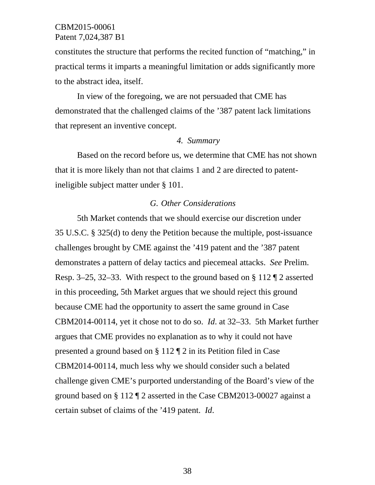constitutes the structure that performs the recited function of "matching," in practical terms it imparts a meaningful limitation or adds significantly more to the abstract idea, itself.

In view of the foregoing, we are not persuaded that CME has demonstrated that the challenged claims of the '387 patent lack limitations that represent an inventive concept.

### *4. Summary*

 Based on the record before us, we determine that CME has not shown that it is more likely than not that claims 1 and 2 are directed to patentineligible subject matter under § 101.

### *G. Other Considerations*

5th Market contends that we should exercise our discretion under 35 U.S.C. § 325(d) to deny the Petition because the multiple, post-issuance challenges brought by CME against the '419 patent and the '387 patent demonstrates a pattern of delay tactics and piecemeal attacks. *See* Prelim. Resp. 3–25, 32–33. With respect to the ground based on § 112 ¶ 2 asserted in this proceeding, 5th Market argues that we should reject this ground because CME had the opportunity to assert the same ground in Case CBM2014-00114, yet it chose not to do so. *Id*. at 32–33. 5th Market further argues that CME provides no explanation as to why it could not have presented a ground based on § 112 ¶ 2 in its Petition filed in Case CBM2014-00114, much less why we should consider such a belated challenge given CME's purported understanding of the Board's view of the ground based on § 112 ¶ 2 asserted in the Case CBM2013-00027 against a certain subset of claims of the '419 patent. *Id*.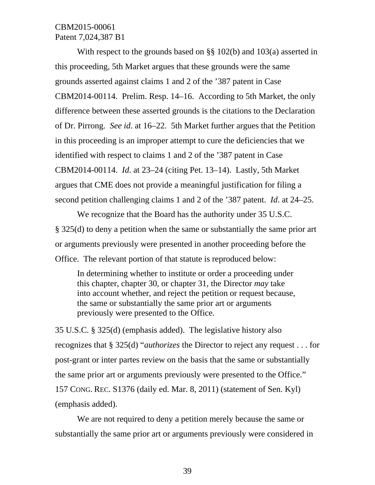With respect to the grounds based on §§ 102(b) and 103(a) asserted in this proceeding, 5th Market argues that these grounds were the same grounds asserted against claims 1 and 2 of the '387 patent in Case CBM2014-00114. Prelim. Resp. 14–16. According to 5th Market, the only difference between these asserted grounds is the citations to the Declaration of Dr. Pirrong. *See id*. at 16–22. 5th Market further argues that the Petition in this proceeding is an improper attempt to cure the deficiencies that we identified with respect to claims 1 and 2 of the '387 patent in Case CBM2014-00114. *Id*. at 23–24 (citing Pet. 13–14). Lastly, 5th Market argues that CME does not provide a meaningful justification for filing a second petition challenging claims 1 and 2 of the '387 patent. *Id*. at 24–25.

We recognize that the Board has the authority under 35 U.S.C. § 325(d) to deny a petition when the same or substantially the same prior art or arguments previously were presented in another proceeding before the Office. The relevant portion of that statute is reproduced below:

In determining whether to institute or order a proceeding under this chapter, chapter 30, or chapter 31, the Director *may* take into account whether, and reject the petition or request because, the same or substantially the same prior art or arguments previously were presented to the Office.

35 U.S.C. § 325(d) (emphasis added). The legislative history also recognizes that § 325(d) "*authorizes* the Director to reject any request . . . for post-grant or inter partes review on the basis that the same or substantially the same prior art or arguments previously were presented to the Office." 157 CONG. REC. S1376 (daily ed. Mar. 8, 2011) (statement of Sen. Kyl) (emphasis added).

We are not required to deny a petition merely because the same or substantially the same prior art or arguments previously were considered in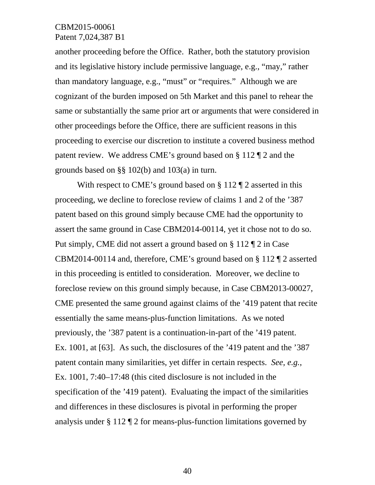another proceeding before the Office. Rather, both the statutory provision and its legislative history include permissive language, e.g., "may," rather than mandatory language, e.g., "must" or "requires." Although we are cognizant of the burden imposed on 5th Market and this panel to rehear the same or substantially the same prior art or arguments that were considered in other proceedings before the Office, there are sufficient reasons in this proceeding to exercise our discretion to institute a covered business method patent review. We address CME's ground based on § 112 ¶ 2 and the grounds based on §§ 102(b) and 103(a) in turn.

With respect to CME's ground based on § 112 ¶ 2 asserted in this proceeding, we decline to foreclose review of claims 1 and 2 of the '387 patent based on this ground simply because CME had the opportunity to assert the same ground in Case CBM2014-00114, yet it chose not to do so. Put simply, CME did not assert a ground based on § 112 ¶ 2 in Case CBM2014-00114 and, therefore, CME's ground based on § 112 ¶ 2 asserted in this proceeding is entitled to consideration. Moreover, we decline to foreclose review on this ground simply because, in Case CBM2013-00027, CME presented the same ground against claims of the '419 patent that recite essentially the same means-plus-function limitations. As we noted previously, the '387 patent is a continuation-in-part of the '419 patent. Ex. 1001, at [63]. As such, the disclosures of the '419 patent and the '387 patent contain many similarities, yet differ in certain respects. *See, e.g.*, Ex. 1001, 7:40–17:48 (this cited disclosure is not included in the specification of the '419 patent). Evaluating the impact of the similarities and differences in these disclosures is pivotal in performing the proper analysis under § 112 ¶ 2 for means-plus-function limitations governed by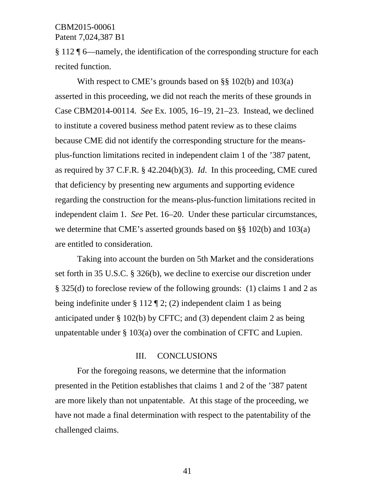§ 112 ¶ 6—namely, the identification of the corresponding structure for each recited function.

With respect to CME's grounds based on §§ 102(b) and 103(a) asserted in this proceeding, we did not reach the merits of these grounds in Case CBM2014-00114. *See* Ex. 1005, 16–19, 21–23. Instead, we declined to institute a covered business method patent review as to these claims because CME did not identify the corresponding structure for the meansplus-function limitations recited in independent claim 1 of the '387 patent, as required by 37 C.F.R. § 42.204(b)(3). *Id*. In this proceeding, CME cured that deficiency by presenting new arguments and supporting evidence regarding the construction for the means-plus-function limitations recited in independent claim 1. *See* Pet. 16–20. Under these particular circumstances, we determine that CME's asserted grounds based on §§ 102(b) and 103(a) are entitled to consideration.

 Taking into account the burden on 5th Market and the considerations set forth in 35 U.S.C. § 326(b), we decline to exercise our discretion under § 325(d) to foreclose review of the following grounds: (1) claims 1 and 2 as being indefinite under § 112 ¶ 2; (2) independent claim 1 as being anticipated under § 102(b) by CFTC; and (3) dependent claim 2 as being unpatentable under § 103(a) over the combination of CFTC and Lupien.

#### III. CONCLUSIONS

For the foregoing reasons, we determine that the information presented in the Petition establishes that claims 1 and 2 of the '387 patent are more likely than not unpatentable. At this stage of the proceeding, we have not made a final determination with respect to the patentability of the challenged claims.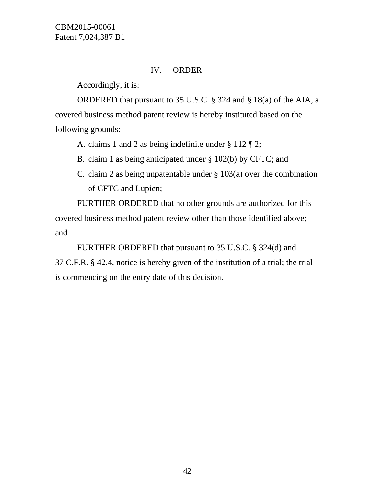## IV. ORDER

Accordingly, it is:

ORDERED that pursuant to 35 U.S.C. § 324 and § 18(a) of the AIA, a covered business method patent review is hereby instituted based on the following grounds:

A. claims 1 and 2 as being indefinite under § 112 ¶ 2;

B. claim 1 as being anticipated under § 102(b) by CFTC; and

C. claim 2 as being unpatentable under § 103(a) over the combination of CFTC and Lupien;

 FURTHER ORDERED that no other grounds are authorized for this covered business method patent review other than those identified above; and

FURTHER ORDERED that pursuant to 35 U.S.C. § 324(d) and 37 C.F.R. § 42.4, notice is hereby given of the institution of a trial; the trial is commencing on the entry date of this decision.